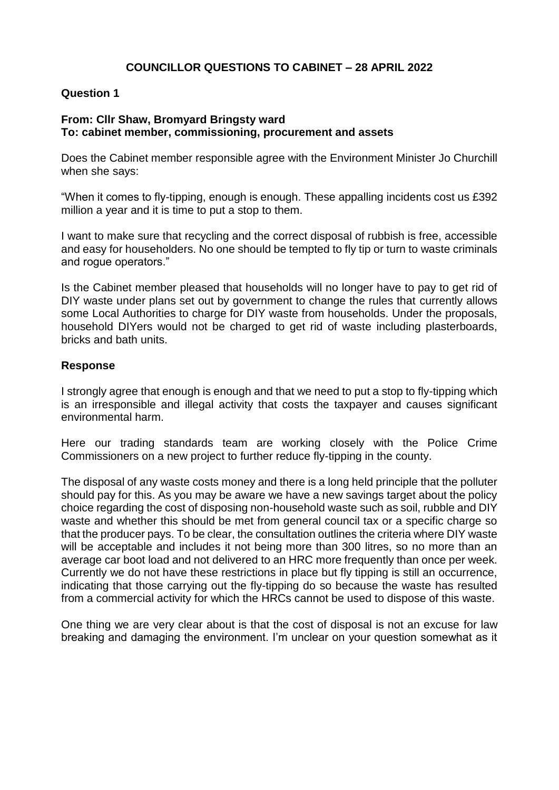# **COUNCILLOR QUESTIONS TO CABINET – 28 APRIL 2022**

## **Question 1**

## **From: Cllr Shaw, Bromyard Bringsty ward To: cabinet member, commissioning, procurement and assets**

Does the Cabinet member responsible agree with the Environment Minister Jo Churchill when she says:

"When it comes to fly-tipping, enough is enough. These appalling incidents cost us £392 million a year and it is time to put a stop to them.

I want to make sure that recycling and the correct disposal of rubbish is free, accessible and easy for householders. No one should be tempted to fly tip or turn to waste criminals and rogue operators."

Is the Cabinet member pleased that households will no longer have to pay to get rid of DIY waste under plans set out by government to change the rules that currently allows some Local Authorities to charge for DIY waste from households. Under the proposals, household DIYers would not be charged to get rid of waste including plasterboards, bricks and bath units.

#### **Response**

I strongly agree that enough is enough and that we need to put a stop to fly-tipping which is an irresponsible and illegal activity that costs the taxpayer and causes significant environmental harm.

Here our trading standards team are working closely with the Police Crime Commissioners on a new project to further reduce fly-tipping in the county.

The disposal of any waste costs money and there is a long held principle that the polluter should pay for this. As you may be aware we have a new savings target about the policy choice regarding the cost of disposing non-household waste such as soil, rubble and DIY waste and whether this should be met from general council tax or a specific charge so that the producer pays. To be clear, the consultation outlines the criteria where DIY waste will be acceptable and includes it not being more than 300 litres, so no more than an average car boot load and not delivered to an HRC more frequently than once per week. Currently we do not have these restrictions in place but fly tipping is still an occurrence, indicating that those carrying out the fly-tipping do so because the waste has resulted from a commercial activity for which the HRCs cannot be used to dispose of this waste.

One thing we are very clear about is that the cost of disposal is not an excuse for law breaking and damaging the environment. I'm unclear on your question somewhat as it